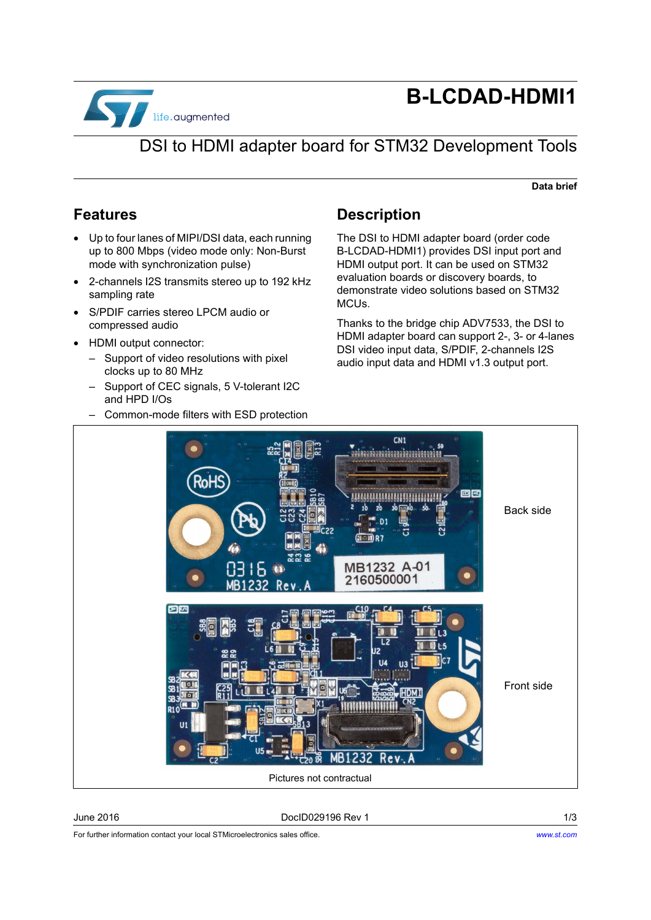

# **B-LCDAD-HDMI1**

## DSI to HDMI adapter board for STM32 Development Tools

#### **Data brief**

### **Features**

- Up to four lanes of MIPI/DSI data, each running up to 800 Mbps (video mode only: Non-Burst mode with synchronization pulse)
- 2-channels I2S transmits stereo up to 192 kHz sampling rate
- S/PDIF carries stereo LPCM audio or compressed audio
- HDMI output connector:
	- Support of video resolutions with pixel clocks up to 80 MHz
	- Support of CEC signals, 5 V-tolerant I2C and HPD I/Os
	- Common-mode filters with ESD protection

### **Description**

The DSI to HDMI adapter board (order code B-LCDAD-HDMI1) provides DSI input port and HDMI output port. It can be used on STM32 evaluation boards or discovery boards, to demonstrate video solutions based on STM32 MCUs.

Thanks to the bridge chip ADV7533, the DSI to HDMI adapter board can support 2-, 3- or 4-lanes DSI video input data, S/PDIF, 2-channels I2S audio input data and HDMI v1.3 output port.



June 2016 DocID029196 Rev 1 1/3

For further information contact your local STMicroelectronics sales office.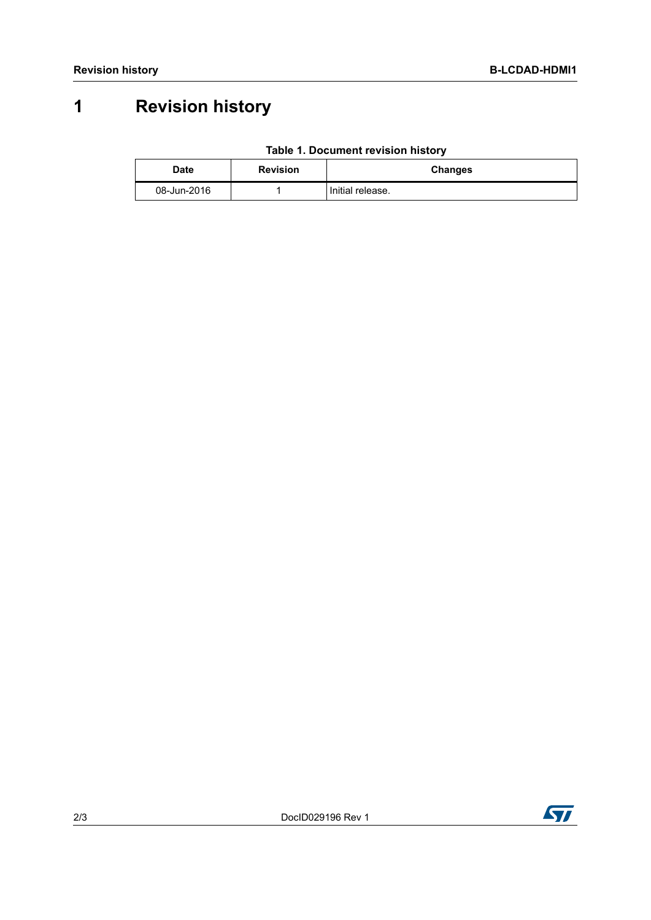## **1 Revision history**

| Table 1. Document revision history |  |  |
|------------------------------------|--|--|
|------------------------------------|--|--|

| Date        | <b>Revision</b> | <b>Changes</b>   |
|-------------|-----------------|------------------|
| 08-Jun-2016 |                 | Initial release. |